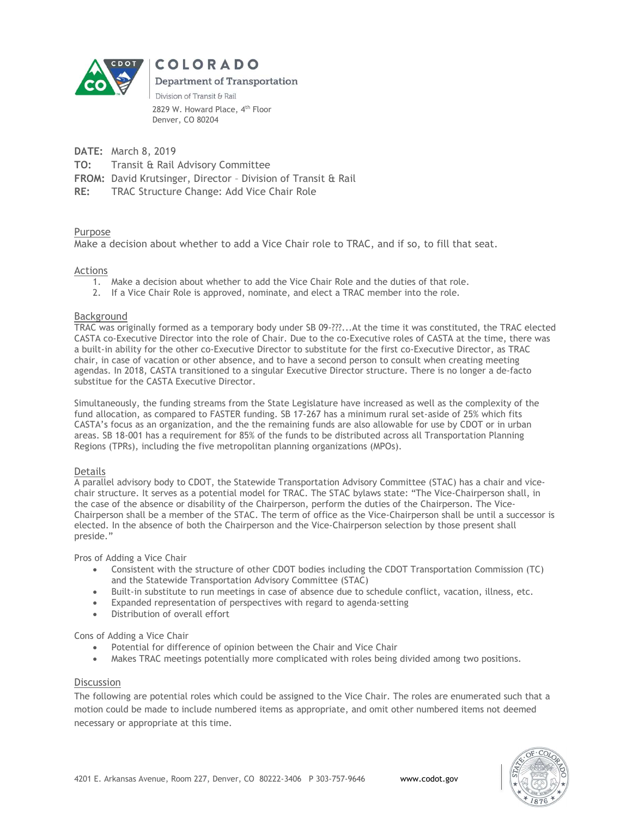

COLORADO

**Department of Transportation** 

Division of Transit & Rail 2829 W. Howard Place, 4<sup>th</sup> Floor Denver, CO 80204

DATE: March 8, 2019

TO: Transit & Rail Advisory Committee

FROM: David Krutsinger, Director – Division of Transit & Rail

RE: TRAC Structure Change: Add Vice Chair Role

# Purpose

Make a decision about whether to add a Vice Chair role to TRAC, and if so, to fill that seat.

## Actions

- 1. Make a decision about whether to add the Vice Chair Role and the duties of that role.
- 2. If a Vice Chair Role is approved, nominate, and elect a TRAC member into the role.

#### Background

TRAC was originally formed as a temporary body under SB 09-???...At the time it was constituted, the TRAC elected CASTA co-Executive Director into the role of Chair. Due to the co-Executive roles of CASTA at the time, there was a built-in ability for the other co-Executive Director to substitute for the first co-Executive Director, as TRAC chair, in case of vacation or other absence, and to have a second person to consult when creating meeting agendas. In 2018, CASTA transitioned to a singular Executive Director structure. There is no longer a de-facto substitue for the CASTA Executive Director.

Simultaneously, the funding streams from the State Legislature have increased as well as the complexity of the fund allocation, as compared to FASTER funding. SB 17-267 has a minimum rural set-aside of 25% which fits CASTA's focus as an organization, and the the remaining funds are also allowable for use by CDOT or in urban areas. SB 18-001 has a requirement for 85% of the funds to be distributed across all Transportation Planning Regions (TPRs), including the five metropolitan planning organizations (MPOs).

## Details

A parallel advisory body to CDOT, the Statewide Transportation Advisory Committee (STAC) has a chair and vicechair structure. It serves as a potential model for TRAC. The STAC bylaws state: "The Vice-Chairperson shall, in the case of the absence or disability of the Chairperson, perform the duties of the Chairperson. The Vice-Chairperson shall be a member of the STAC. The term of office as the Vice-Chairperson shall be until a successor is elected. In the absence of both the Chairperson and the Vice-Chairperson selection by those present shall preside."

Pros of Adding a Vice Chair

- Consistent with the structure of other CDOT bodies including the CDOT Transportation Commission (TC) and the Statewide Transportation Advisory Committee (STAC)
- Built-in substitute to run meetings in case of absence due to schedule conflict, vacation, illness, etc.
- Expanded representation of perspectives with regard to agenda-setting
- Distribution of overall effort

Cons of Adding a Vice Chair

- Potential for difference of opinion between the Chair and Vice Chair
- Makes TRAC meetings potentially more complicated with roles being divided among two positions.

#### **Discussion**

The following are potential roles which could be assigned to the Vice Chair. The roles are enumerated such that a motion could be made to include numbered items as appropriate, and omit other numbered items not deemed necessary or appropriate at this time.